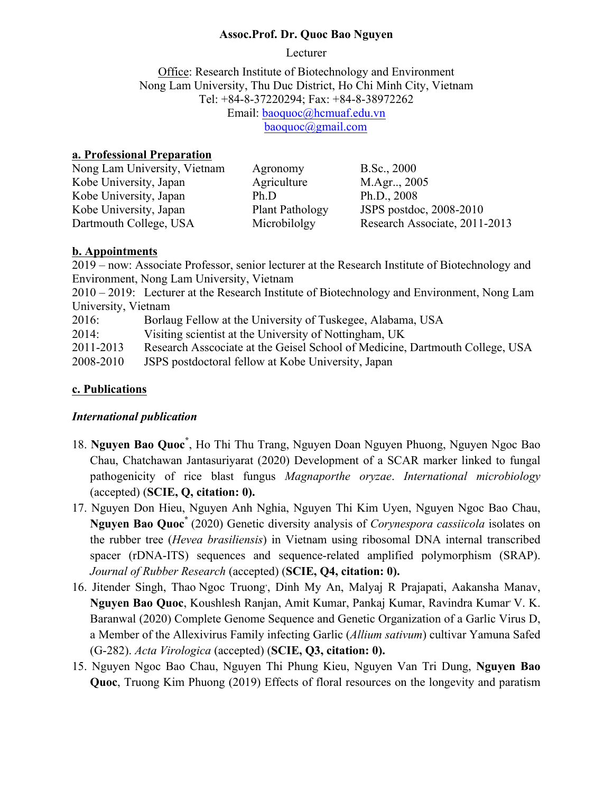#### **Assoc.Prof. Dr. Quoc Bao Nguyen**

Lecturer

Office: Research Institute of Biotechnology and Environment Nong Lam University, Thu Duc District, Ho Chi Minh City, Vietnam Tel: +84-8-37220294; Fax: +84-8-38972262 Email: baoquoc@hcmuaf.edu.vn baoquoc@gmail.com

## **a. Professional Preparation**

| Nong Lam University, Vietnam | Agronomy               | B.Sc., 2000                   |
|------------------------------|------------------------|-------------------------------|
| Kobe University, Japan       | Agriculture            | M.Agr., 2005                  |
| Kobe University, Japan       | Ph.D                   | Ph.D., $2008$                 |
| Kobe University, Japan       | <b>Plant Pathology</b> | JSPS postdoc, 2008-2010       |
| Dartmouth College, USA       | Microbilolgy           | Research Associate, 2011-2013 |

#### **b. Appointments**

2019 – now: Associate Professor, senior lecturer at the Research Institute of Biotechnology and Environment, Nong Lam University, Vietnam

2010 – 2019: Lecturer at the Research Institute of Biotechnology and Environment, Nong Lam University, Vietnam

| Borlaug Fellow at the University of Tuskegee, Alabama, USA | 2016: |  |  |  |
|------------------------------------------------------------|-------|--|--|--|
|------------------------------------------------------------|-------|--|--|--|

2014: Visiting scientist at the University of Nottingham, UK

2011-2013 Research Asscociate at the Geisel School of Medicine, Dartmouth College, USA

2008-2010 JSPS postdoctoral fellow at Kobe University, Japan

#### **c. Publications**

## *International publication*

- 18. **Nguyen Bao Quoc\*** , Ho Thi Thu Trang, Nguyen Doan Nguyen Phuong, Nguyen Ngoc Bao Chau, Chatchawan Jantasuriyarat (2020) Development of a SCAR marker linked to fungal pathogenicity of rice blast fungus *Magnaporthe oryzae*. *International microbiology* (accepted) (**SCIE, Q, citation: 0).**
- 17. Nguyen Don Hieu, Nguyen Anh Nghia, Nguyen Thi Kim Uyen, Nguyen Ngoc Bao Chau, **Nguyen Bao Quoc\*** (2020) Genetic diversity analysis of *Corynespora cassiicola* isolates on the rubber tree (*Hevea brasiliensis*) in Vietnam using ribosomal DNA internal transcribed spacer (rDNA-ITS) sequences and sequence-related amplified polymorphism (SRAP). *Journal of Rubber Research* (accepted) (**SCIE, Q4, citation: 0).**
- 16. Jitender Singh, Thao Ngoc Truong, Dinh My An, Malyaj R Prajapati, Aakansha Manav, **Nguyen Bao Quoc**, Koushlesh Ranjan, Amit Kumar, Pankaj Kumar, Ravindra Kumar, V. K. Baranwal (2020) Complete Genome Sequence and Genetic Organization of a Garlic Virus D, a Member of the Allexivirus Family infecting Garlic (*Allium sativum*) cultivar Yamuna Safed (G-282). *Acta Virologica* (accepted) (**SCIE, Q3, citation: 0).**
- 15. Nguyen Ngoc Bao Chau, Nguyen Thi Phung Kieu, Nguyen Van Tri Dung, **Nguyen Bao Quoc**, Truong Kim Phuong (2019) Effects of floral resources on the longevity and paratism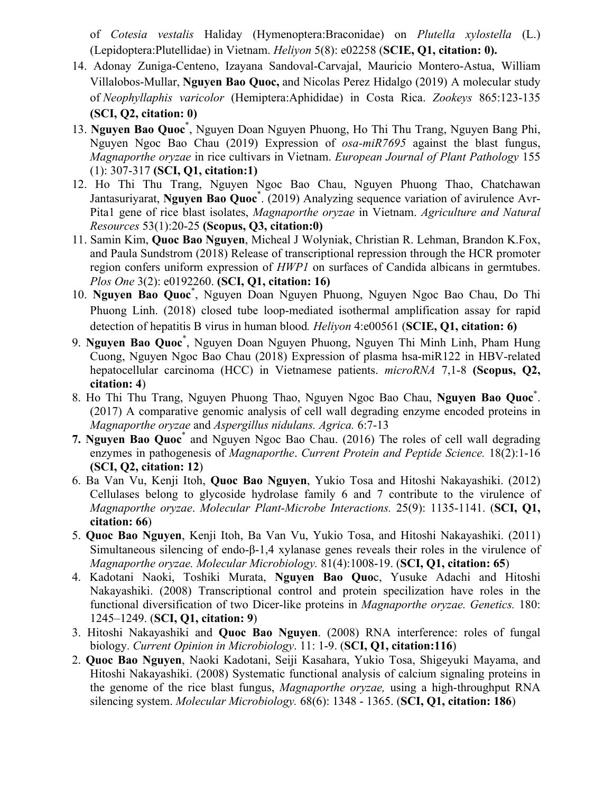of *Cotesia vestalis* Haliday (Hymenoptera:Braconidae) on *Plutella xylostella* (L.) (Lepidoptera:Plutellidae) in Vietnam. *Heliyon* 5(8): e02258 (**SCIE, Q1, citation: 0).**

- 14. Adonay Zuniga-Centeno, Izayana Sandoval-Carvajal, Mauricio Montero-Astua, William Villalobos-Mullar, **Nguyen Bao Quoc,** and Nicolas Perez Hidalgo (2019) A molecular study of *Neophyllaphis varicolor* (Hemiptera:Aphididae) in Costa Rica. *Zookeys* 865:123-135 **(SCI, Q2, citation: 0)**
- 13. **Nguyen Bao Quoc**\* , Nguyen Doan Nguyen Phuong, Ho Thi Thu Trang, Nguyen Bang Phi, Nguyen Ngoc Bao Chau (2019) Expression of *osa-miR7695* against the blast fungus, *Magnaporthe oryzae* in rice cultivars in Vietnam. *European Journal of Plant Pathology* 155 (1): 307-317 **(SCI, Q1, citation:1)**
- 12. Ho Thi Thu Trang, Nguyen Ngoc Bao Chau, Nguyen Phuong Thao, Chatchawan Jantasuriyarat, **Nguyen Bao Quoc**\* . (2019) Analyzing sequence variation of avirulence Avr-Pita1 gene of rice blast isolates, *Magnaporthe oryzae* in Vietnam. *Agriculture and Natural Resources* 53(1):20-25 **(Scopus, Q3, citation:0)**
- 11. Samin Kim, **Quoc Bao Nguyen**, Micheal J Wolyniak, Christian R. Lehman, Brandon K.Fox, and Paula Sundstrom (2018) Release of transcriptional repression through the HCR promoter region confers uniform expression of *HWP1* on surfaces of Candida albicans in germtubes. *Plos One* 3(2): e0192260. **(SCI, Q1, citation: 16)**
- 10. **Nguyen Bao Quoc**\* , Nguyen Doan Nguyen Phuong, Nguyen Ngoc Bao Chau, Do Thi Phuong Linh. (2018) closed tube loop-mediated isothermal amplification assay for rapid detection of hepatitis B virus in human blood*. Heliyon* 4:e00561 (**SCIE, Q1, citation: 6)**
- 9. **Nguyen Bao Quoc**\* , Nguyen Doan Nguyen Phuong, Nguyen Thi Minh Linh, Pham Hung Cuong, Nguyen Ngoc Bao Chau (2018) Expression of plasma hsa-miR122 in HBV-related hepatocellular carcinoma (HCC) in Vietnamese patients. *microRNA* 7,1-8 **(Scopus, Q2, citation: 4**)
- 8. Ho Thi Thu Trang, Nguyen Phuong Thao, Nguyen Ngoc Bao Chau, **Nguyen Bao Quoc**\* . (2017) A comparative genomic analysis of cell wall degrading enzyme encoded proteins in *Magnaporthe oryzae* and *Aspergillus nidulans. Agrica.* 6:7-13
- **7. Nguyen Bao Quoc**\* and Nguyen Ngoc Bao Chau. (2016) The roles of cell wall degrading enzymes in pathogenesis of *Magnaporthe*. *Current Protein and Peptide Science.* 18(2):1-16 **(SCI, Q2, citation: 12**)
- 6. Ba Van Vu, Kenji Itoh, **Quoc Bao Nguyen**, Yukio Tosa and Hitoshi Nakayashiki. (2012) Cellulases belong to glycoside hydrolase family 6 and 7 contribute to the virulence of *Magnaporthe oryzae*. *Molecular Plant-Microbe Interactions.* 25(9): 1135-1141. (**SCI, Q1, citation: 66**)
- 5. **Quoc Bao Nguyen**, Kenji Itoh, Ba Van Vu, Yukio Tosa, and Hitoshi Nakayashiki. (2011) Simultaneous silencing of endo-β-1,4 xylanase genes reveals their roles in the virulence of *Magnaporthe oryzae. Molecular Microbiology.* 81(4):1008-19. (**SCI, Q1, citation: 65**)
- 4. Kadotani Naoki, Toshiki Murata, **Nguyen Bao Quo**c, Yusuke Adachi and Hitoshi Nakayashiki. (2008) Transcriptional control and protein specilization have roles in the functional diversification of two Dicer-like proteins in *Magnaporthe oryzae. Genetics.* 180: 1245–1249. (**SCI, Q1, citation: 9**)
- 3. Hitoshi Nakayashiki and **Quoc Bao Nguyen**. (2008) RNA interference: roles of fungal biology. *Current Opinion in Microbiology*. 11: 1-9. (**SCI, Q1, citation:116**)
- 2. **Quoc Bao Nguyen**, Naoki Kadotani, Seiji Kasahara, Yukio Tosa, Shigeyuki Mayama, and Hitoshi Nakayashiki. (2008) Systematic functional analysis of calcium signaling proteins in the genome of the rice blast fungus, *Magnaporthe oryzae,* using a high-throughput RNA silencing system. *Molecular Microbiology.* 68(6): 1348 - 1365. (**SCI, Q1, citation: 186**)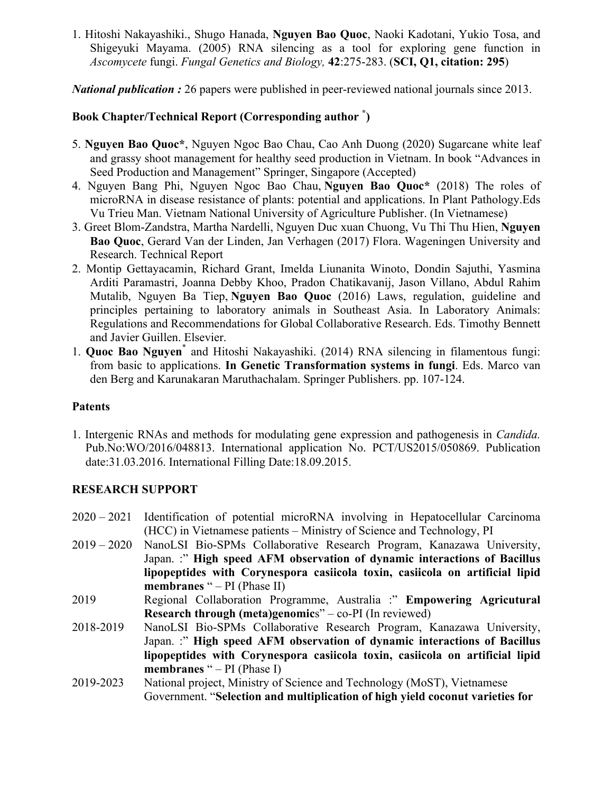1. Hitoshi Nakayashiki., Shugo Hanada, **Nguyen Bao Quoc**, Naoki Kadotani, Yukio Tosa, and Shigeyuki Mayama. (2005) RNA silencing as a tool for exploring gene function in *Ascomycete* fungi. *Fungal Genetics and Biology,* **42**:275-283. (**SCI, Q1, citation: 295**)

*National publication :* 26 papers were published in peer-reviewed national journals since 2013.

# **Book Chapter/Technical Report (Corresponding author \* )**

- 5. **Nguyen Bao Quoc\***, Nguyen Ngoc Bao Chau, Cao Anh Duong (2020) Sugarcane white leaf and grassy shoot management for healthy seed production in Vietnam. In book "Advances in Seed Production and Management" Springer, Singapore (Accepted)
- 4. Nguyen Bang Phi, Nguyen Ngoc Bao Chau, **Nguyen Bao Quoc\*** (2018) The roles of microRNA in disease resistance of plants: potential and applications. In Plant Pathology.Eds Vu Trieu Man. Vietnam National University of Agriculture Publisher. (In Vietnamese)
- 3. Greet Blom-Zandstra, Martha Nardelli, Nguyen Duc xuan Chuong, Vu Thi Thu Hien, **Nguyen Bao Quoc**, Gerard Van der Linden, Jan Verhagen (2017) Flora. Wageningen University and Research. Technical Report
- 2. Montip Gettayacamin, Richard Grant, Imelda Liunanita Winoto, Dondin Sajuthi, Yasmina Arditi Paramastri, Joanna Debby Khoo, Pradon Chatikavanij, Jason Villano, Abdul Rahim Mutalib, Nguyen Ba Tiep, **Nguyen Bao Quoc** (2016) Laws, regulation, guideline and principles pertaining to laboratory animals in Southeast Asia. In Laboratory Animals: Regulations and Recommendations for Global Collaborative Research. Eds. Timothy Bennett and Javier Guillen. Elsevier.
- 1. **Quoc Bao Nguyen**\* and Hitoshi Nakayashiki. (2014) RNA silencing in filamentous fungi: from basic to applications. **In Genetic Transformation systems in fungi**. Eds. Marco van den Berg and Karunakaran Maruthachalam. Springer Publishers. pp. 107-124.

## **Patents**

1. Intergenic RNAs and methods for modulating gene expression and pathogenesis in *Candida.*  Pub.No:WO/2016/048813. International application No. PCT/US2015/050869. Publication date:31.03.2016. International Filling Date:18.09.2015.

## **RESEARCH SUPPORT**

- 2020 2021 Identification of potential microRNA involving in Hepatocellular Carcinoma (HCC) in Vietnamese patients – Ministry of Science and Technology, PI
- 2019 2020 NanoLSI Bio-SPMs Collaborative Research Program, Kanazawa University, Japan. :" **High speed AFM observation of dynamic interactions of Bacillus lipopeptides with Corynespora casiicola toxin, casiicola on artificial lipid membranes** " – PI (Phase II)
- 2019 Regional Collaboration Programme, Australia :" **Empowering Agricutural Research through (meta)genomic**s" – co-PI (In reviewed)
- 2018-2019 NanoLSI Bio-SPMs Collaborative Research Program, Kanazawa University, Japan. :" **High speed AFM observation of dynamic interactions of Bacillus lipopeptides with Corynespora casiicola toxin, casiicola on artificial lipid membranes** " – PI (Phase I)
- 2019-2023 National project, Ministry of Science and Technology (MoST), Vietnamese Government. "**Selection and multiplication of high yield coconut varieties for**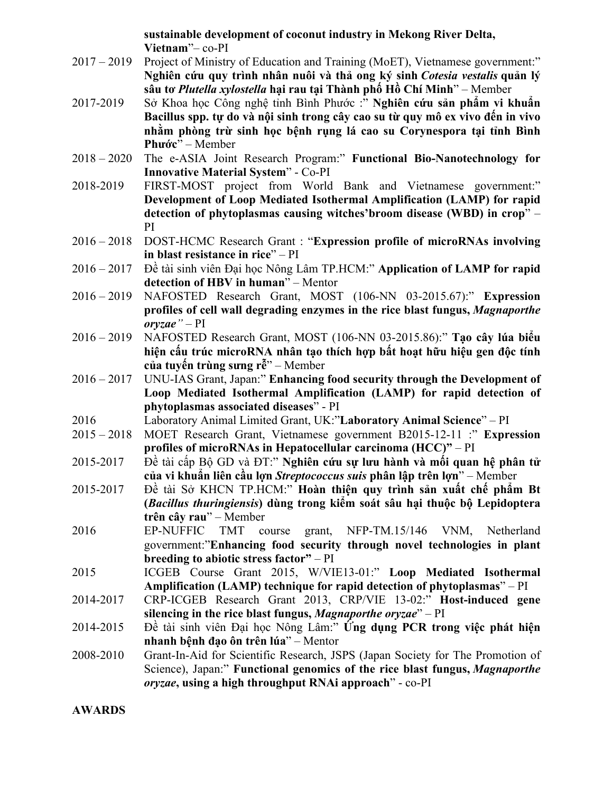**sustainable development of coconut industry in Mekong River Delta, Vietnam**"– co-PI

- 2017 2019 Project of Ministry of Education and Training (MoET), Vietnamese government:" **Nghiên cứu quy trình nhân nuôi và thả ong ký sinh** *Cotesia vestalis* **quản lý sâu tơ** *Plutella xylostella* **hại rau tại Thành phố Hồ Chí Minh**" – Member
- 2017-2019 Sở Khoa học Công nghệ tỉnh Bình Phước :" **Nghiên cứu sản phẩm vi khuẩn Bacillus spp. tự do và nội sinh trong cây cao su từ quy mô ex vivo đến in vivo nhằm phòng trừ sinh học bệnh rụng lá cao su Corynespora tại tỉnh Bình Phước**" – Member
- 2018 2020 The e-ASIA Joint Research Program:" **Functional Bio-Nanotechnology for Innovative Material System**" - Co-PI
- 2018-2019 FIRST-MOST project from World Bank and Vietnamese government:" **Development of Loop Mediated Isothermal Amplification (LAMP) for rapid detection of phytoplasmas causing witches'broom disease (WBD) in crop**" – PI
- 2016 2018 DOST-HCMC Research Grant : "**Expression profile of microRNAs involving in blast resistance in rice**" – PI
- 2016 2017 Đề tài sinh viên Đại học Nông Lâm TP.HCM:" **Application of LAMP for rapid detection of HBV in human**" – Mentor
- 2016 2019 NAFOSTED Research Grant, MOST (106-NN 03-2015.67):" **Expression profiles of cell wall degrading enzymes in the rice blast fungus,** *Magnaporthe oryzae"* – PI
- 2016 2019 NAFOSTED Research Grant, MOST (106-NN 03-2015.86):" **Tạo cây lúa biểu hiện cấu trúc microRNA nhân tạo thích hợp bất hoạt hữu hiệu gen độc tính của tuyến trùng sưng rễ**" – Member
- 2016 2017 UNU-IAS Grant, Japan:" **Enhancing food security through the Development of Loop Mediated Isothermal Amplification (LAMP) for rapid detection of phytoplasmas associated diseases**" - PI
- 2016 Laboratory Animal Limited Grant, UK:"**Laboratory Animal Science**" PI
- 2015 2018 MOET Research Grant, Vietnamese government B2015-12-11 :" **Expression profiles of microRNAs in Hepatocellular carcinoma (HCC)"** – PI
- 2015-2017 Đề tài cấp Bộ GD và ĐT:" **Nghiên cứu sự lưu hành và mối quan hệ phân tử của vi khuẩn liên cầu lợn** *Streptococcus suis* **phân lập trên lợn**" – Member
- 2015-2017 Đề tài Sở KHCN TP.HCM:" **Hoàn thiện quy trình sản xuất chế phẩm Bt (***Bacillus thuringiensis***) dùng trong kiểm soát sâu hại thuộc bộ Lepidoptera trên cây rau**" – Member
- 2016 EP-NUFFIC TMT course grant, NFP-TM.15/146 VNM, Netherland government:"**Enhancing food security through novel technologies in plant breeding to abiotic stress factor"** – PI
- 2015 ICGEB Course Grant 2015, W/VIE13-01:" **Loop Mediated Isothermal Amplification (LAMP) technique for rapid detection of phytoplasmas**" – PI
- 2014-2017 CRP-ICGEB Research Grant 2013, CRP/VIE 13-02:" **Host-induced gene silencing in the rice blast fungus,** *Magnaporthe oryzae*" – PI
- 2014-2015 Đề tài sinh viên Đại học Nông Lâm:" **Ứng dụng PCR trong việc phát hiện nhanh bệnh đạo ôn trên lúa**" – Mentor
- 2008-2010 Grant-In-Aid for Scientific Research, JSPS (Japan Society for The Promotion of Science), Japan:" **Functional genomics of the rice blast fungus,** *Magnaporthe oryzae***, using a high throughput RNAi approach**" - co-PI

**AWARDS**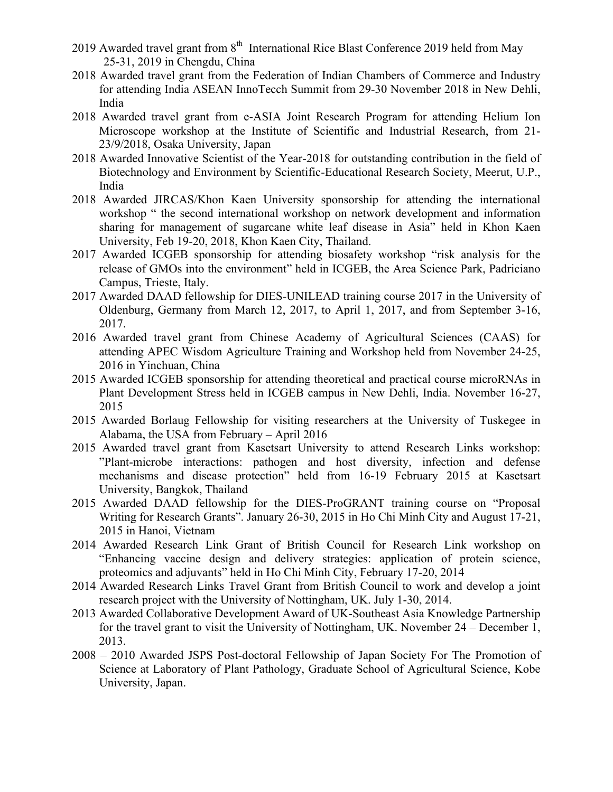- 2019 Awarded travel grant from  $8<sup>th</sup>$  International Rice Blast Conference 2019 held from May 25-31, 2019 in Chengdu, China
- 2018 Awarded travel grant from the Federation of Indian Chambers of Commerce and Industry for attending India ASEAN InnoTecch Summit from 29-30 November 2018 in New Dehli, India
- 2018 Awarded travel grant from e-ASIA Joint Research Program for attending Helium Ion Microscope workshop at the Institute of Scientific and Industrial Research, from 21- 23/9/2018, Osaka University, Japan
- 2018 Awarded Innovative Scientist of the Year-2018 for outstanding contribution in the field of Biotechnology and Environment by Scientific-Educational Research Society, Meerut, U.P., India
- 2018 Awarded JIRCAS/Khon Kaen University sponsorship for attending the international workshop " the second international workshop on network development and information sharing for management of sugarcane white leaf disease in Asia" held in Khon Kaen University, Feb 19-20, 2018, Khon Kaen City, Thailand.
- 2017 Awarded ICGEB sponsorship for attending biosafety workshop "risk analysis for the release of GMOs into the environment" held in ICGEB, the Area Science Park, Padriciano Campus, Trieste, Italy.
- 2017 Awarded DAAD fellowship for DIES-UNILEAD training course 2017 in the University of Oldenburg, Germany from March 12, 2017, to April 1, 2017, and from September 3-16, 2017.
- 2016 Awarded travel grant from Chinese Academy of Agricultural Sciences (CAAS) for attending APEC Wisdom Agriculture Training and Workshop held from November 24-25, 2016 in Yinchuan, China
- 2015 Awarded ICGEB sponsorship for attending theoretical and practical course microRNAs in Plant Development Stress held in ICGEB campus in New Dehli, India. November 16-27, 2015
- 2015 Awarded Borlaug Fellowship for visiting researchers at the University of Tuskegee in Alabama, the USA from February – April 2016
- 2015 Awarded travel grant from Kasetsart University to attend Research Links workshop: "Plant-microbe interactions: pathogen and host diversity, infection and defense mechanisms and disease protection" held from 16-19 February 2015 at Kasetsart University, Bangkok, Thailand
- 2015 Awarded DAAD fellowship for the DIES-ProGRANT training course on "Proposal Writing for Research Grants". January 26-30, 2015 in Ho Chi Minh City and August 17-21, 2015 in Hanoi, Vietnam
- 2014 Awarded Research Link Grant of British Council for Research Link workshop on "Enhancing vaccine design and delivery strategies: application of protein science, proteomics and adjuvants" held in Ho Chi Minh City, February 17-20, 2014
- 2014 Awarded Research Links Travel Grant from British Council to work and develop a joint research project with the University of Nottingham, UK. July 1-30, 2014.
- 2013 Awarded Collaborative Development Award of UK-Southeast Asia Knowledge Partnership for the travel grant to visit the University of Nottingham, UK. November 24 – December 1, 2013.
- 2008 2010 Awarded JSPS Post-doctoral Fellowship of Japan Society For The Promotion of Science at Laboratory of Plant Pathology, Graduate School of Agricultural Science, Kobe University, Japan.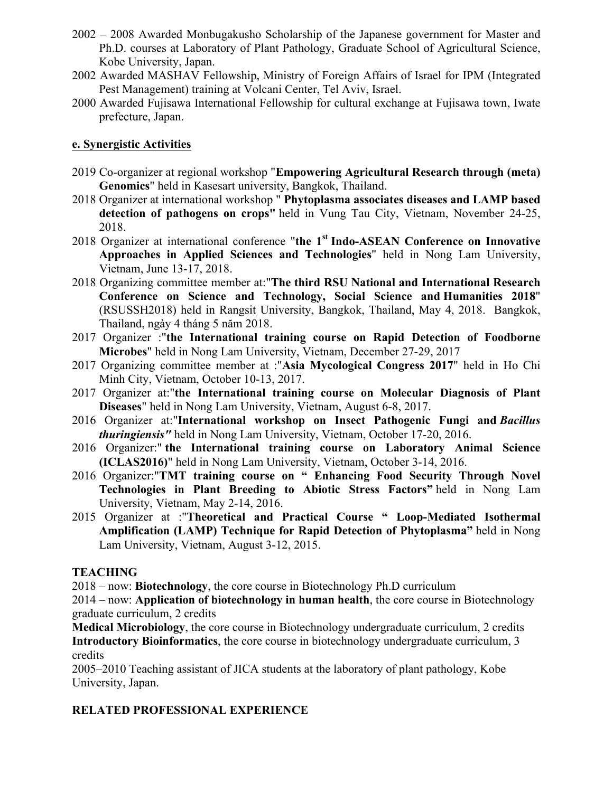- 2002 2008 Awarded Monbugakusho Scholarship of the Japanese government for Master and Ph.D. courses at Laboratory of Plant Pathology, Graduate School of Agricultural Science, Kobe University, Japan.
- 2002 Awarded MASHAV Fellowship, Ministry of Foreign Affairs of Israel for IPM (Integrated Pest Management) training at Volcani Center, Tel Aviv, Israel.
- 2000 Awarded Fujisawa International Fellowship for cultural exchange at Fujisawa town, Iwate prefecture, Japan.

#### **e. Synergistic Activities**

- 2019 Co-organizer at regional workshop "**Empowering Agricultural Research through (meta) Genomics**" held in Kasesart university, Bangkok, Thailand.
- 2018 Organizer at international workshop " **Phytoplasma associates diseases and LAMP based detection of pathogens on crops"** held in Vung Tau City, Vietnam, November 24-25, 2018.
- 2018 Organizer at international conference "**the 1st Indo-ASEAN Conference on Innovative Approaches in Applied Sciences and Technologies**" held in Nong Lam University, Vietnam, June 13-17, 2018.
- 2018 Organizing committee member at:"**The third RSU National and International Research Conference on Science and Technology, Social Science and Humanities 2018**" (RSUSSH2018) held in Rangsit University, Bangkok, Thailand, May 4, 2018. Bangkok, Thailand, ngày 4 tháng 5 năm 2018.
- 2017 Organizer :"**the International training course on Rapid Detection of Foodborne Microbes**" held in Nong Lam University, Vietnam, December 27-29, 2017
- 2017 Organizing committee member at :"**Asia Mycological Congress 2017**" held in Ho Chi Minh City, Vietnam, October 10-13, 2017.
- 2017 Organizer at:"**the International training course on Molecular Diagnosis of Plant Diseases**" held in Nong Lam University, Vietnam, August 6-8, 2017.
- 2016 Organizer at:"**International workshop on Insect Pathogenic Fungi and** *Bacillus thuringiensis"* held in Nong Lam University, Vietnam, October 17-20, 2016.
- 2016 Organizer:" **the International training course on Laboratory Animal Science (ICLAS2016)**" held in Nong Lam University, Vietnam, October 3-14, 2016.
- 2016 Organizer:"**TMT training course on " Enhancing Food Security Through Novel Technologies in Plant Breeding to Abiotic Stress Factors"** held in Nong Lam University, Vietnam, May 2-14, 2016.
- 2015 Organizer at :"**Theoretical and Practical Course " Loop-Mediated Isothermal Amplification (LAMP) Technique for Rapid Detection of Phytoplasma"** held in Nong Lam University, Vietnam, August 3-12, 2015.

## **TEACHING**

2018 – now: **Biotechnology**, the core course in Biotechnology Ph.D curriculum

2014 – now: **Application of biotechnology in human health**, the core course in Biotechnology graduate curriculum, 2 credits

**Medical Microbiology**, the core course in Biotechnology undergraduate curriculum, 2 credits **Introductory Bioinformatics**, the core course in biotechnology undergraduate curriculum, 3 credits

2005–2010 Teaching assistant of JICA students at the laboratory of plant pathology, Kobe University, Japan.

## **RELATED PROFESSIONAL EXPERIENCE**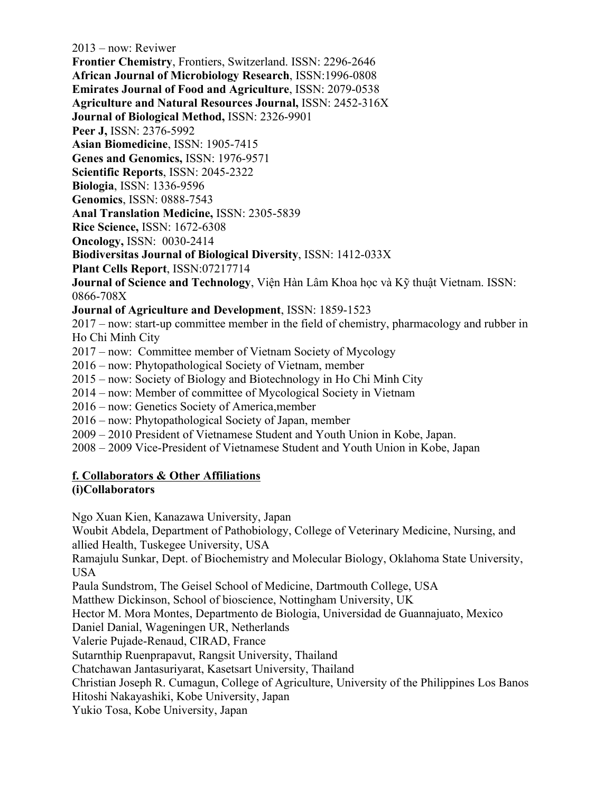2013 – now: Reviwer **Frontier Chemistry**, Frontiers, Switzerland. ISSN: 2296-2646 **African Journal of Microbiology Research**, ISSN:1996-0808 **Emirates Journal of Food and Agriculture**, ISSN: 2079-0538 **Agriculture and Natural Resources Journal,** ISSN: 2452-316X **Journal of Biological Method,** ISSN: 2326-9901 **Peer J,** ISSN: 2376-5992 **Asian Biomedicine**, ISSN: 1905-7415 **Genes and Genomics,** ISSN: 1976-9571 **Scientific Reports**, ISSN: 2045-2322 **Biologia**, ISSN: 1336-9596 **Genomics**, ISSN: 0888-7543 **Anal Translation Medicine,** ISSN: 2305-5839 **Rice Science,** ISSN: 1672-6308 **Oncology,** ISSN: 0030-2414 **Biodiversitas Journal of Biological Diversity**, ISSN: 1412-033X **Plant Cells Report**, ISSN:07217714 **Journal of Science and Technology**, Viên Hàn Lâm Khoa học và Kỹ thuật Vietnam. ISSN: 0866-708X **Journal of Agriculture and Development**, ISSN: 1859-1523 2017 – now: start-up committee member in the field of chemistry, pharmacology and rubber in Ho Chi Minh City 2017 – now: Committee member of Vietnam Society of Mycology 2016 – now: Phytopathological Society of Vietnam, member 2015 – now: Society of Biology and Biotechnology in Ho Chi Minh City 2014 – now: Member of committee of Mycological Society in Vietnam 2016 – now: Genetics Society of America,member 2016 – now: Phytopathological Society of Japan, member 2009 – 2010 President of Vietnamese Student and Youth Union in Kobe, Japan. 2008 – 2009 Vice-President of Vietnamese Student and Youth Union in Kobe, Japan **f. Collaborators & Other Affiliations (i)Collaborators**

Ngo Xuan Kien, Kanazawa University, Japan

Woubit Abdela, Department of Pathobiology, College of Veterinary Medicine, Nursing, and allied Health, Tuskegee University, USA

Ramajulu Sunkar, Dept. of Biochemistry and Molecular Biology, Oklahoma State University, USA

Paula Sundstrom, The Geisel School of Medicine, Dartmouth College, USA

Matthew Dickinson, School of bioscience, Nottingham University, UK

Hector M. Mora Montes, Departmento de Biologia, Universidad de Guannajuato, Mexico

Daniel Danial, Wageningen UR, Netherlands

Valerie Pujade-Renaud, CIRAD, France

Sutarnthip Ruenprapavut, Rangsit University, Thailand

Chatchawan Jantasuriyarat, Kasetsart University, Thailand

Christian Joseph R. Cumagun, College of Agriculture, University of the Philippines Los Banos

Hitoshi Nakayashiki, Kobe University, Japan

Yukio Tosa, Kobe University, Japan